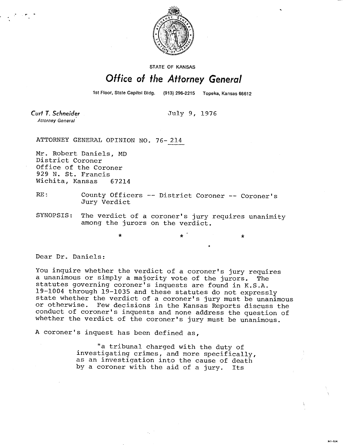

STATE OF KANSAS

## Office of the Attorney General

1st Floor, State Capitol Bldg.

**MI-104** 

Curt T. Schneider Attorney General

July 9, 1976

ATTORNEY GENERAL OPINION NO, 76-214

Mr. Robert Daniels, MD District Coroner Office of the Coroner 929 N. St. Francis Wichita, Kansas 67214

- RE: County Officers -- District Coroner -- Coroner's Jury Verdict
- SYNOPSIS: The verdict of a coroner's jury requires unanimity among the jurors on the verdict.

 $\star$   $\star$   $\star$   $\star$ 

Dear Dr. Daniels:

You inquire whether the verdict of a coroner's jury requires a unanimous or simply a majority vote of the jurors. The statutes governing coroner's inquests are found in K.S.A. 19-1004 through 19-1035 and these statutes do not expressly state whether the verdict of a coroner's jury must be unanimous or otherwise. Few decisions in the Kansas Reports discuss the conduct of coroner's inquests and none address the question of whether the verdict of the coroner's jury must be unanimous.

A coroner's inquest has been defined as,

"a tribunal charged with the duty of investigating crimes, and more specifically, as an investigation into the cause of death by a coroner with the aid of a jury. Its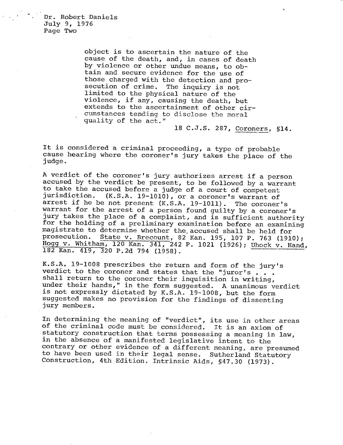Dr. Robert Daniels July 9, 1976 Page Two

> object is to ascertain the nature of the cause of the death, and, in cases of death by violence or other undue means, to obtain and secure evidence for the use of those charged with the detection and prosecution of crime. The inquiry is not limited to the physical nature of the violence, if any, causing the death, but extends to the ascertainment of other circumstances tending to disclose the moral quality of the act."

> > 18 C.J.S. 287, Coroners, §14.

It is considered a criminal proceeding, a type of probable cause hearing where the coroner's jury takes the place of the judge.

A verdict of the coroner's jury authorizes arrest if a person accused by the verdict be present, to be followed by a warrant to take the accused before a judge of a court of competent<br>jurisdiction. (K.S.A. 19-1010), or a coroner's warrant of  $(K.S.A. 19-1010)$ , or a coroner's warrant of arrest if he be not present (K.S.A. 19-1011). The coroner's warrant for the arrest of a person found guilty by a coroner's jury takes the place of a complaint, and is sufficient authority for the holding of a preliminary examination before an examining magistrate to determine whether the accused shall be held for<br>prosecution. State v. Brecount, 82 Kan, 195, 107 P, 763 (191) State v. Brecount, 82 Kan. 195, 107 P. 763 (1910); Hogg v. Whitham, 120 Kan. 341, 242 P. 1021 (1926); Uhock v. Hand, 182 Kan. 419, 320 P.2d 794 (1958).

K.S.A. 19-1008 prescribes the return and form of the jury's verdict to the coroner and states that the "juror's , , . shall return to the coroner their inquisition in writing, under their hands," in the form suggested. A unanimous verdict is not expressly dictated by K.S.A. 19-1008, but the form suggested makes no provision for the findings of dissenting jury members.

In determining the meaning of "verdict", its use in other areas of the criminal code must be considered. It is an axiom of statutory construction that terms possessing a meaning in law, in the absence of a manifested legislative intent to the contrary or other evidence of a different meaning, are presumed to have been used in their legal sense. Sutherland Statutory Construction, 4th Edition, Intrinsic Aids, §47.30 (1973).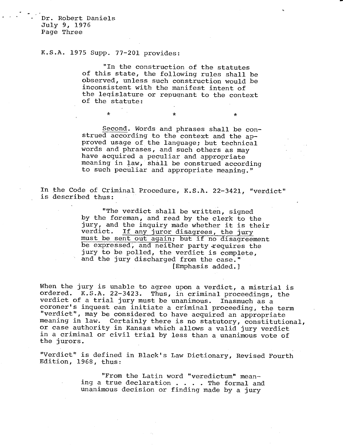Dr. Robert Daniels July 9, 1976 Page Three

## K.S.A. 1975 Supp. 77-201 provides:

 $\star$ 

"In the construction of the statutes of this state, the following rules shall be observed, unless such construction would be inconsistent with the manifest intent of the legislature or repugnant to the context of the statute:

\*

 $\star$ 

Second. Words and phrases shall be construed according to the context and the approved usage of the language; but technical words and phrases, and such others as may have acquired a peculiar and appropriate meaning in law, shall be construed according to such peculiar and appropriate meaning."

In the Code of Criminal Procedure, K.S.A. 22-3421, "verdict" is described thus:

> "The verdict shall be written, signed by the foreman, and read by the clerk to the jury, and the inquiry made whether it is their<br>verdict. If any juror disagrees, the jury If any juror disagrees, the jury must be sent out again; but if no disagreement be expressed, and neither party requires the jury to be polled, the verdict is complete, and the jury discharged from the case." [Emphasis added.]

When the jury is unable to agree upon a verdict, a mistrial is ordered. K.S.A. 22-3423. Thus, in criminal proceedings, the verdict of a trial jury must be unanimous. Inasmuch as a coroner's inquest can initiate a criminal proceeding, the term "verdict", may be considered to have acquired an appropriate meaning in law. Certainly there is no statutory, constitutional, or case authority in Kansas which allows a valid jury verdict in a criminal or civil trial by less than a unanimous vote of the jurors.

"Verdict" is defined in Black's Law Dictionary, Revised Fourth Edition, 1968, thus:

> "From the Latin word "veredictum" meaning a true declaration . . . . The formal and unanimous decision or finding made by a jury